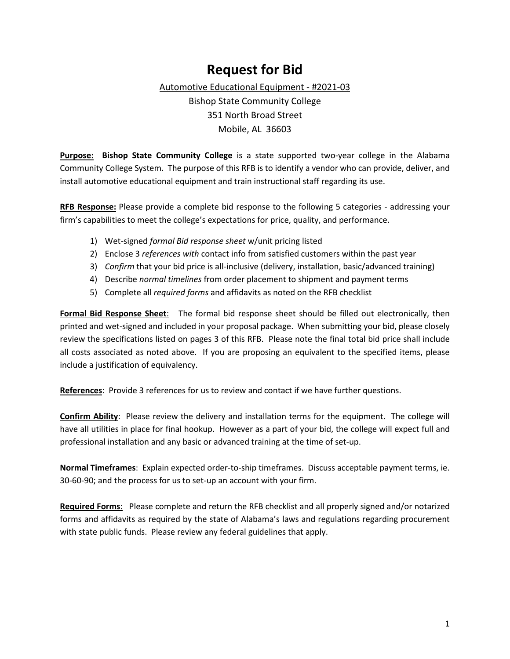### **Request for Bid**

Automotive Educational Equipment - #2021-03

Bishop State Community College 351 North Broad Street Mobile, AL 36603

**Purpose: Bishop State Community College** is a state supported two-year college in the Alabama Community College System. The purpose of this RFB is to identify a vendor who can provide, deliver, and install automotive educational equipment and train instructional staff regarding its use.

**RFB Response:** Please provide a complete bid response to the following 5 categories - addressing your firm's capabilities to meet the college's expectations for price, quality, and performance.

- 1) Wet-signed *formal Bid response sheet* w/unit pricing listed
- 2) Enclose 3 *references with* contact info from satisfied customers within the past year
- 3) *Confirm* that your bid price is all-inclusive (delivery, installation, basic/advanced training)
- 4) Describe *normal timelines* from order placement to shipment and payment terms
- 5) Complete all *required forms* and affidavits as noted on the RFB checklist

**Formal Bid Response Sheet**: The formal bid response sheet should be filled out electronically, then printed and wet-signed and included in your proposal package. When submitting your bid, please closely review the specifications listed on pages 3 of this RFB. Please note the final total bid price shall include all costs associated as noted above. If you are proposing an equivalent to the specified items, please include a justification of equivalency.

**References**: Provide 3 references for us to review and contact if we have further questions.

**Confirm Ability**: Please review the delivery and installation terms for the equipment. The college will have all utilities in place for final hookup. However as a part of your bid, the college will expect full and professional installation and any basic or advanced training at the time of set-up.

**Normal Timeframes**: Explain expected order-to-ship timeframes. Discuss acceptable payment terms, ie. 30-60-90; and the process for us to set-up an account with your firm.

**Required Forms**: Please complete and return the RFB checklist and all properly signed and/or notarized forms and affidavits as required by the state of Alabama's laws and regulations regarding procurement with state public funds. Please review any federal guidelines that apply.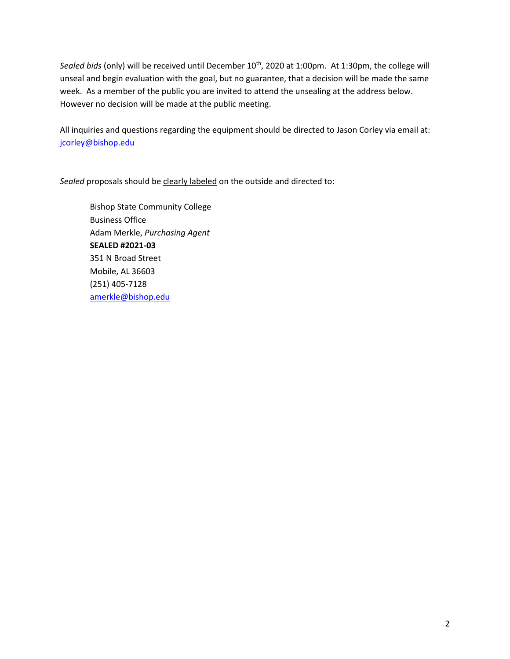Sealed bids (only) will be received until December 10<sup>th</sup>, 2020 at 1:00pm. At 1:30pm, the college will unseal and begin evaluation with the goal, but no guarantee, that a decision will be made the same week. As a member of the public you are invited to attend the unsealing at the address below. However no decision will be made at the public meeting.

All inquiries and questions regarding the equipment should be directed to Jason Corley via email at: [jcorley@bishop.edu](mailto:jcorley@bishop.edu)

*Sealed* proposals should be clearly labeled on the outside and directed to:

Bishop State Community College Business Office Adam Merkle, *Purchasing Agent* **SEALED #2021-03** 351 N Broad Street Mobile, AL 36603 (251) 405-7128 [amerkle@bishop.edu](mailto:amerkle@bishop.edu)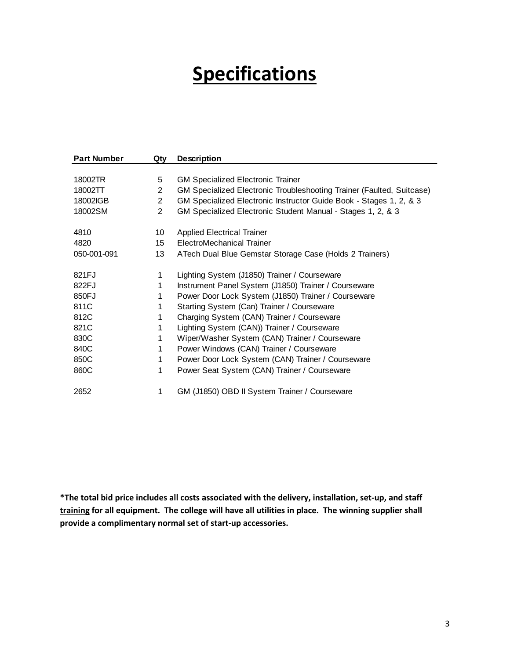# **Specifications**

| <b>Part Number</b> | Qtv            | <b>Description</b>                                                    |
|--------------------|----------------|-----------------------------------------------------------------------|
|                    |                |                                                                       |
| 18002TR            | 5              | <b>GM Specialized Electronic Trainer</b>                              |
| 18002TT            | $\overline{2}$ | GM Specialized Electronic Troubleshooting Trainer (Faulted, Suitcase) |
| 18002IGB           | $\overline{2}$ | GM Specialized Electronic Instructor Guide Book - Stages 1, 2, & 3    |
| 18002SM            | $\overline{2}$ | GM Specialized Electronic Student Manual - Stages 1, 2, & 3           |
| 4810               | 10             | <b>Applied Electrical Trainer</b>                                     |
| 4820               | 15             | ElectroMechanical Trainer                                             |
| 050-001-091        | 13             | ATech Dual Blue Gemstar Storage Case (Holds 2 Trainers)               |
| 821FJ              | 1              | Lighting System (J1850) Trainer / Courseware                          |
| 822FJ              | 1              | Instrument Panel System (J1850) Trainer / Courseware                  |
| 850FJ              | 1              | Power Door Lock System (J1850) Trainer / Courseware                   |
| 811C               | 1              | Starting System (Can) Trainer / Courseware                            |
| 812C               | 1              | Charging System (CAN) Trainer / Courseware                            |
| 821C               | 1              | Lighting System (CAN)) Trainer / Courseware                           |
| 830C               |                | Wiper/Washer System (CAN) Trainer / Courseware                        |
| 840C               | 1              | Power Windows (CAN) Trainer / Courseware                              |
| 850C               | 1              | Power Door Lock System (CAN) Trainer / Courseware                     |
| 860C               | 1              | Power Seat System (CAN) Trainer / Courseware                          |
| 2652               | 1              | GM (J1850) OBD II System Trainer / Courseware                         |

**\*The total bid price includes all costs associated with the delivery, installation, set-up, and staff training for all equipment. The college will have all utilities in place. The winning supplier shall provide a complimentary normal set of start-up accessories.**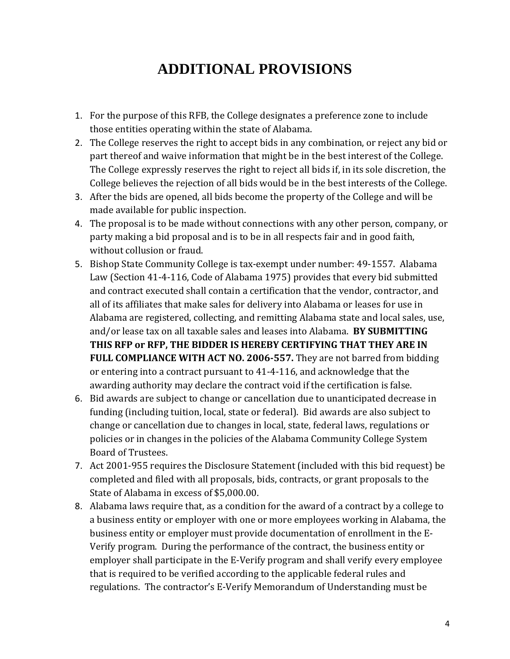## **ADDITIONAL PROVISIONS**

- 1. For the purpose of this RFB, the College designates a preference zone to include those entities operating within the state of Alabama.
- 2. The College reserves the right to accept bids in any combination, or reject any bid or part thereof and waive information that might be in the best interest of the College. The College expressly reserves the right to reject all bids if, in its sole discretion, the College believes the rejection of all bids would be in the best interests of the College.
- 3. After the bids are opened, all bids become the property of the College and will be made available for public inspection.
- 4. The proposal is to be made without connections with any other person, company, or party making a bid proposal and is to be in all respects fair and in good faith, without collusion or fraud.
- 5. Bishop State Community College is tax-exempt under number: 49-1557. Alabama Law (Section 41-4-116, Code of Alabama 1975) provides that every bid submitted and contract executed shall contain a certification that the vendor, contractor, and all of its affiliates that make sales for delivery into Alabama or leases for use in Alabama are registered, collecting, and remitting Alabama state and local sales, use, and/or lease tax on all taxable sales and leases into Alabama. **BY SUBMITTING THIS RFP or RFP, THE BIDDER IS HEREBY CERTIFYING THAT THEY ARE IN FULL COMPLIANCE WITH ACT NO. 2006-557.** They are not barred from bidding or entering into a contract pursuant to 41-4-116, and acknowledge that the awarding authority may declare the contract void if the certification is false.
- 6. Bid awards are subject to change or cancellation due to unanticipated decrease in funding (including tuition, local, state or federal). Bid awards are also subject to change or cancellation due to changes in local, state, federal laws, regulations or policies or in changes in the policies of the Alabama Community College System Board of Trustees.
- 7. Act 2001-955 requires the Disclosure Statement (included with this bid request) be completed and filed with all proposals, bids, contracts, or grant proposals to the State of Alabama in excess of \$5,000.00.
- 8. Alabama laws require that, as a condition for the award of a contract by a college to a business entity or employer with one or more employees working in Alabama, the business entity or employer must provide documentation of enrollment in the E-Verify program. During the performance of the contract, the business entity or employer shall participate in the E-Verify program and shall verify every employee that is required to be verified according to the applicable federal rules and regulations. The contractor's E-Verify Memorandum of Understanding must be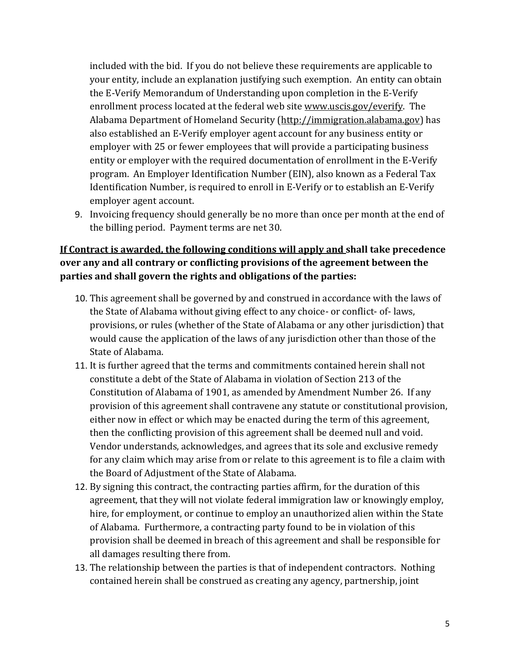included with the bid. If you do not believe these requirements are applicable to your entity, include an explanation justifying such exemption. An entity can obtain the E-Verify Memorandum of Understanding upon completion in the E-Verify enrollment process located at the federal web site www.uscis.gov/everify. The Alabama Department of Homeland Security (http://immigration.alabama.gov) has also established an E-Verify employer agent account for any business entity or employer with 25 or fewer employees that will provide a participating business entity or employer with the required documentation of enrollment in the E-Verify program. An Employer Identification Number (EIN), also known as a Federal Tax Identification Number, is required to enroll in E-Verify or to establish an E-Verify employer agent account.

9. Invoicing frequency should generally be no more than once per month at the end of the billing period. Payment terms are net 30.

#### **If Contract is awarded, the following conditions will apply and shall take precedence over any and all contrary or conflicting provisions of the agreement between the parties and shall govern the rights and obligations of the parties:**

- 10. This agreement shall be governed by and construed in accordance with the laws of the State of Alabama without giving effect to any choice- or conflict- of- laws, provisions, or rules (whether of the State of Alabama or any other jurisdiction) that would cause the application of the laws of any jurisdiction other than those of the State of Alabama.
- 11. It is further agreed that the terms and commitments contained herein shall not constitute a debt of the State of Alabama in violation of Section 213 of the Constitution of Alabama of 1901, as amended by Amendment Number 26. If any provision of this agreement shall contravene any statute or constitutional provision, either now in effect or which may be enacted during the term of this agreement, then the conflicting provision of this agreement shall be deemed null and void. Vendor understands, acknowledges, and agrees that its sole and exclusive remedy for any claim which may arise from or relate to this agreement is to file a claim with the Board of Adjustment of the State of Alabama.
- 12. By signing this contract, the contracting parties affirm, for the duration of this agreement, that they will not violate federal immigration law or knowingly employ, hire, for employment, or continue to employ an unauthorized alien within the State of Alabama. Furthermore, a contracting party found to be in violation of this provision shall be deemed in breach of this agreement and shall be responsible for all damages resulting there from.
- 13. The relationship between the parties is that of independent contractors. Nothing contained herein shall be construed as creating any agency, partnership, joint